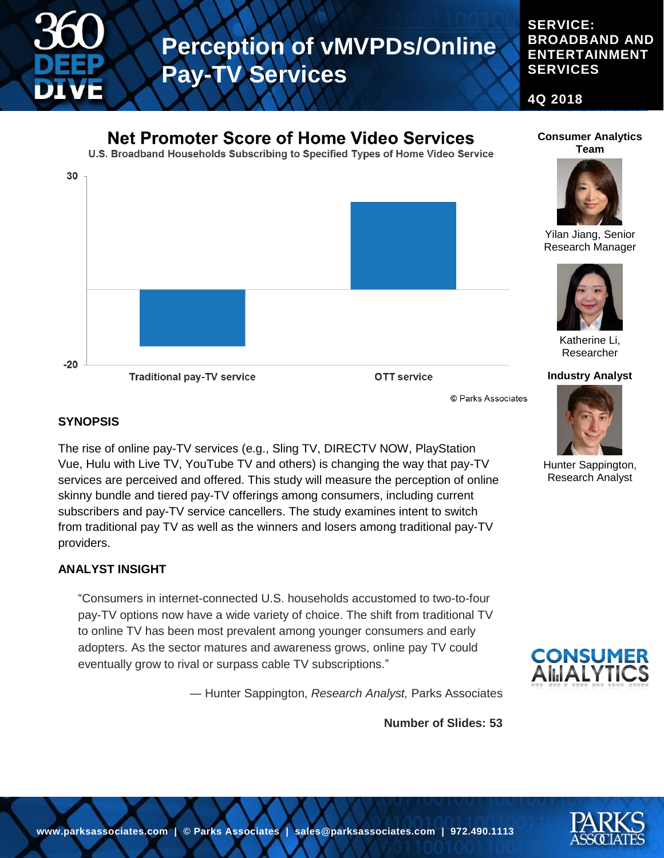

# **Perception of vMVPDs/Online Pay-TV Services**

**SERVICE: BROADBAND AND ENTERTAINMENT SERVICES**

**4Q 2018**



#### **SYNOPSIS**

The rise of online pay-TV services (e.g., Sling TV, DIRECTV NOW, PlayStation Vue, Hulu with Live TV, YouTube TV and others) is changing the way that pay-TV services are perceived and offered. This study will measure the perception of online skinny bundle and tiered pay-TV offerings among consumers, including current subscribers and pay-TV service cancellers. The study examines intent to switch from traditional pay TV as well as the winners and losers among traditional pay-TV providers.

#### **ANALYST INSIGHT**

"Consumers in internet-connected U.S. households accustomed to two-to-four pay-TV options now have a wide variety of choice. The shift from traditional TV to online TV has been most prevalent among younger consumers and early adopters. As the sector matures and awareness grows, online pay TV could eventually grow to rival or surpass cable TV subscriptions."

― Hunter Sappington, *Research Analyst,* Parks Associates

**Number of Slides: 53**



**CONSUMER**<br>AIIJALYTICS

Hunter Sappington, Research Analyst

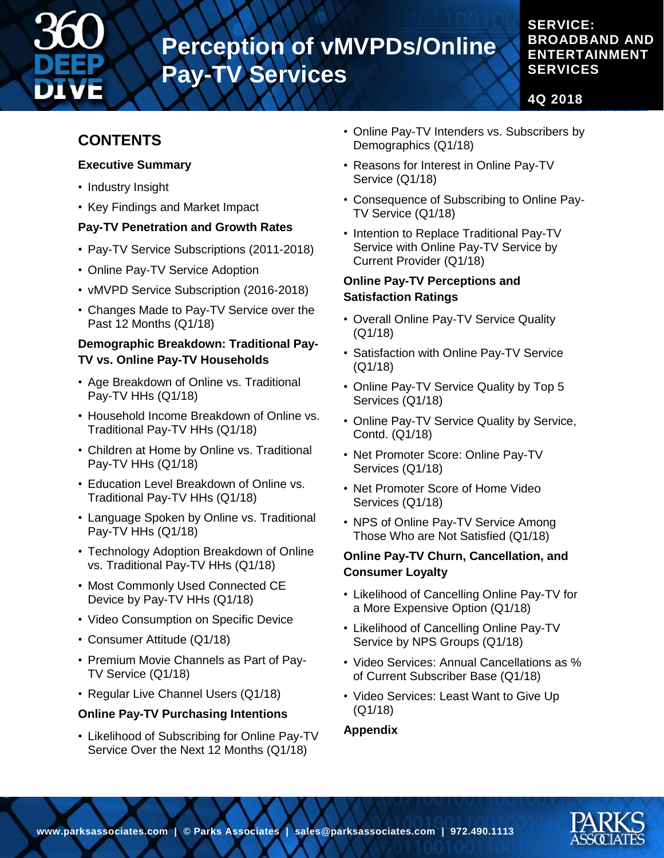

# **Perception of vMVPDs/Online Pay-TV Services**

### **SERVICE: BROADBAND AND ENTERTAINMENT SERVICES**

**4Q 2018**

# **CONTENTS**

#### **Executive Summary**

- Industry Insight
- Key Findings and Market Impact

### **Pay-TV Penetration and Growth Rates**

- Pay-TV Service Subscriptions (2011-2018)
- Online Pay-TV Service Adoption
- vMVPD Service Subscription (2016-2018)
- Changes Made to Pay-TV Service over the Past 12 Months (Q1/18)

#### **Demographic Breakdown: Traditional Pay-TV vs. Online Pay-TV Households**

- Age Breakdown of Online vs. Traditional Pay-TV HHs (Q1/18)
- Household Income Breakdown of Online vs. Traditional Pay-TV HHs (Q1/18)
- Children at Home by Online vs. Traditional Pay-TV HHs (Q1/18)
- Education Level Breakdown of Online vs. Traditional Pay-TV HHs (Q1/18)
- Language Spoken by Online vs. Traditional Pay-TV HHs (Q1/18)
- Technology Adoption Breakdown of Online vs. Traditional Pay-TV HHs (Q1/18)
- Most Commonly Used Connected CE Device by Pay-TV HHs (Q1/18)
- Video Consumption on Specific Device
- Consumer Attitude (Q1/18)
- Premium Movie Channels as Part of Pay-TV Service (Q1/18)
- Regular Live Channel Users (Q1/18)

### **Online Pay-TV Purchasing Intentions**

• Likelihood of Subscribing for Online Pay-TV Service Over the Next 12 Months (Q1/18)

- Online Pay-TV Intenders vs. Subscribers by Demographics (Q1/18)
- Reasons for Interest in Online Pay-TV Service (Q1/18)
- Consequence of Subscribing to Online Pay-TV Service (Q1/18)
- Intention to Replace Traditional Pay-TV Service with Online Pay-TV Service by Current Provider (Q1/18)

#### **Online Pay-TV Perceptions and Satisfaction Ratings**

- Overall Online Pay-TV Service Quality (Q1/18)
- Satisfaction with Online Pay-TV Service (Q1/18)
- Online Pay-TV Service Quality by Top 5 Services (Q1/18)
- Online Pay-TV Service Quality by Service, Contd. (Q1/18)
- Net Promoter Score: Online Pay-TV Services (Q1/18)
- Net Promoter Score of Home Video Services (Q1/18)
- NPS of Online Pay-TV Service Among Those Who are Not Satisfied (Q1/18)

#### **Online Pay-TV Churn, Cancellation, and Consumer Loyalty**

- Likelihood of Cancelling Online Pay-TV for a More Expensive Option (Q1/18)
- Likelihood of Cancelling Online Pay-TV Service by NPS Groups (Q1/18)
- Video Services: Annual Cancellations as % of Current Subscriber Base (Q1/18)
- Video Services: Least Want to Give Up (Q1/18)

#### **Appendix**